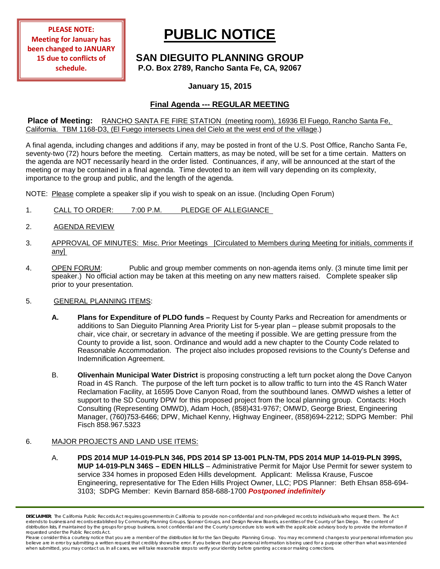**PLEASE NOTE: Meeting for January has been changed to JANUARY 15 due to conflicts of schedule.**

# **PUBLIC NOTICE**

# **SAN DIEGUITO PLANNING GROUP P.O. Box 2789, Rancho Santa Fe, CA, 92067**

## **January 15, 2015**

# **Final Agenda --- REGULAR MEETING**

**Place of Meeting:** RANCHO SANTA FE FIRE STATION (meeting room), 16936 El Fuego, Rancho Santa Fe, California. TBM 1168-D3, (El Fuego intersects Linea del Cielo at the west end of the village.)

A final agenda, including changes and additions if any, may be posted in front of the U.S. Post Office, Rancho Santa Fe, seventy-two (72) hours before the meeting. Certain matters, as may be noted, will be set for a time certain. Matters on the agenda are NOT necessarily heard in the order listed. Continuances, if any, will be announced at the start of the meeting or may be contained in a final agenda. Time devoted to an item will vary depending on its complexity, importance to the group and public, and the length of the agenda.

NOTE: Please complete a speaker slip if you wish to speak on an issue. (Including Open Forum)

- 1. CALL TO ORDER: 7:00 P.M. PLEDGE OF ALLEGIANCE
- 2. AGENDA REVIEW
- 3. APPROVAL OF MINUTES: Misc. Prior Meetings [Circulated to Members during Meeting for initials, comments if any]
- 4. OPEN FORUM: Public and group member comments on non-agenda items only. (3 minute time limit per speaker.) No official action may be taken at this meeting on any new matters raised. Complete speaker slip prior to your presentation.

### 5. GENERAL PLANNING ITEMS:

- **A. Plans for Expenditure of PLDO funds –** Request by County Parks and Recreation for amendments or additions to San Dieguito Planning Area Priority List for 5-year plan – please submit proposals to the chair, vice chair, or secretary in advance of the meeting if possible. We are getting pressure from the County to provide a list, soon. Ordinance and would add a new chapter to the County Code related to Reasonable Accommodation. The project also includes proposed revisions to the County's Defense and Indemnification Agreement.
- B. **Olivenhain Municipal Water District** is proposing constructing a left turn pocket along the Dove Canyon Road in 4S Ranch. The purpose of the left turn pocket is to allow traffic to turn into the 4S Ranch Water Reclamation Facility, at 16595 Dove Canyon Road, from the southbound lanes. OMWD wishes a letter of support to the SD County DPW for this proposed project from the local planning group. Contacts: Hoch Consulting (Representing OMWD), Adam Hoch, (858)431-9767; OMWD, George Briest, Engineering Manager, (760)753-6466; DPW, Michael Kenny, Highway Engineer, (858)694-2212; SDPG Member: Phil Fisch 858.967.5323

#### 6. MAJOR PROJECTS AND LAND USE ITEMS:

A. **PDS 2014 MUP 14-019-PLN 346, PDS 2014 SP 13-001 PLN-TM, PDS 2014 MUP 14-019-PLN 399S, MUP 14-019-PLN 346S – EDEN HILLS** – Administrative Permit for Major Use Permit for sewer system to service 334 homes in proposed Eden Hills development. Applicant: Melissa Krause, Fuscoe Engineering, representative for The Eden Hills Project Owner, LLC; PDS Planner: Beth Ehsan 858-694- 3103; SDPG Member: Kevin Barnard 858-688-1700 *Postponed indefinitely*

*DISCLAIMER; The California Public Records Act requires governments in California to provide non-confidential and non-privileged records to individuals who request them. The Act*  extends to business and records established by Community Planning Groups, Sponsor Groups, and Design Review Boards, as entities of the County of San Diego. The content of distribution lists, if maintained by the groups for group business, is not confidential and the County's procedure is to work with the applicable advisory body to provide the information if *requested under the Public Records Act.*

Please consider this a courtesy notice that you are a member of the distribution list for the San Dieguito Planning Group. You may recommend changes to your personal information you believe are in error by submitting a written request that credibly shows the error. If you believe that your personal information is being used for a purpose other than what was intended<br>when submitted, you may contact us.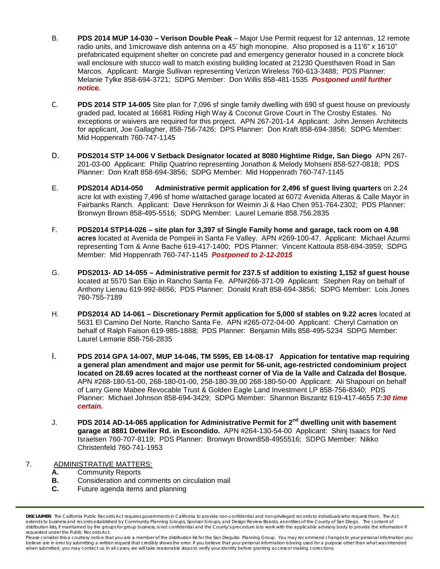- B. **PDS 2014 MUP 14-030 – Verison Double Peak** Major Use Permit request for 12 antennas, 12 remote radio units, and 1 microwave dish antenna on a 45' high monopine. Also proposed is a 11'6" x 16'10" prefabricated equipment shelter on concrete pad and emergency generator housed in a concrete block wall enclosure with stucco wall to match existing building located at 21230 Questhaven Road in San Marcos. Applicant: Margie Sullivan representing Verizon Wireless 760-613-3488; PDS Planner: Melanie Tylke 858-694-3721; SDPG Member: Don Willis 858-481-1535 *Postponed until further notice.*
- C. **PDS 2014 STP 14-005** Site plan for 7,096 sf single family dwelling with 690 sf guest house on previously graded pad, located at 16681 Riding High Way & Coconut Grove Court in The Crosby Estates. No exceptions or waivers are required for this project. APN 267-201-14 Applicant: John Jensen Architects for applicant, Joe Gallagher, 858-756-7426; DPS Planner: Don Kraft 858-694-3856; SDPG Member: Mid Hoppenrath 760-747-1145
- D. **PDS2014 STP 14-006 V Setback Designator located at 8080 Hightime Ridge, San Diego** APN 267- 201-03-00 Applicant: Philip Quatrino representing Jonathon & Melody Mohseni 858-527-0818; PDS Planner: Don Kraft 858-694-3856; SDPG Member: Mid Hoppenrath 760-747-1145
- E. **PDS2014 AD14-050 Administrative permit application for 2,496 sf guest living quarters** on 2.24 acre lot with existing 7,496 sf home w/attached garage located at 6072 Avenida Alteras & Calle Mayor in Fairbanks Ranch. Applicant: Dave Henrikson for Weimin Ji & Hao Chen 951-764-2302; PDS Planner: Bronwyn Brown 858-495-5516; SDPG Member: Laurel Lemarie 858.756.2835
- F. **PDS2014 STP14-026 – site plan for 3,397 sf Single Family home and garage, tack room on 4.98 acres** located at Avenida de Pompeii in Santa Fe Valley. APN #269-100-47. Applicant: Michael Azurmi representing Tom & Anne Bache 619-417-1400; PDS Planner: Vincent Kattoula 858-694-3959; SDPG Member: Mid Hoppenrath 760-747-1145 *Postponed to 2-12-2015*
- G. **PDS2013- AD 14-055 – Administrative permit for 237.5 sf addition to existing 1,152 sf guest house** located at 5570 San Elijo in Rancho Santa Fe. APN#266-371-09 Applicant: Stephen Ray on behalf of Anthony Lienau 619-992-8656; PDS Planner: Donald Kraft 858-694-3856; SDPG Member: Lois Jones 760-755-7189
- H. **PDS2014 AD 14-061 – Discretionary Permit application for 5,000 sf stables on 9.22 acres** located at 5631 El Camino Del Norte, Rancho Santa Fe. APN #265-072-04-00 Applicant: Cheryl Carnation on behalf of Ralph Faison 619-985-1888; PDS Planner: Benjamin Mills 858-495-5234 SDPG Member: Laurel Lemarie 858-756-2835
- I. **PDS 2014 GPA 14-007, MUP 14-046, TM 5595, EB 14-08-17 Appication for tentative map requiring a general plan amendment and major use permit for 56-unit, age-restricted condominium project located on 28.69 acres located at the northeast corner of Via de la Valle and Calzada del Bosque.**  APN #268-180-51-00, 268-180-01-00, 258-180-39,00 268-180-50-00 Applicant: Ali Shapouri on behalf of Larry Gene Mabee Revocable Trust & Golden Eagle Land Investment LP 858-756-8340; PDS Planner: Michael Johnson 858-694-3429; SDPG Member: Shannon Biszantz 619-417-4655 *7:30 time certain.*
- J. **PDS 2014 AD-14-065 application for Administrative Permit for 2nd dwelling unit with basement garage at 8881 Detwiler Rd. in Escondido.** APN #264-130-54-00 Applicant: Shinj Isaacs for Ned Israelsen 760-707-8119; PDS Planner: Bronwyn Brown858-4955516; SDPG Member: Nikko Christenfeld 760-741-1953

# 7. ADMINISTRATIVE MATTERS:

**A.** Community Reports

- **B.** Consideration and comments on circulation mail<br>**C.** Future agenda items and planning
- Future agenda items and planning

*DISCLAIMER; The California Public Records Act requires governments in California to provide non-confidential and non-privileged records to individuals who request them. The Act*  extends to business and records established by Community Planning Groups, Sponsor Groups, and Design Review Boards, as entities of the County of San Diego. The content of distribution lists, if maintained by the groups for group business, is not confidential and the County's procedure is to work with the applicable advisory body to provide the information if *requested under the Public Records Act.*

Please consider this a courtesy notice that you are a member of the distribution list for the San Dieguito Planning Group. You may recommend changes to your personal information you believe are in error by submitting a written request that credibly shows the error. If you believe that your personal information is being used for a purpose other than what was intended<br>when submitted, you may contact us.